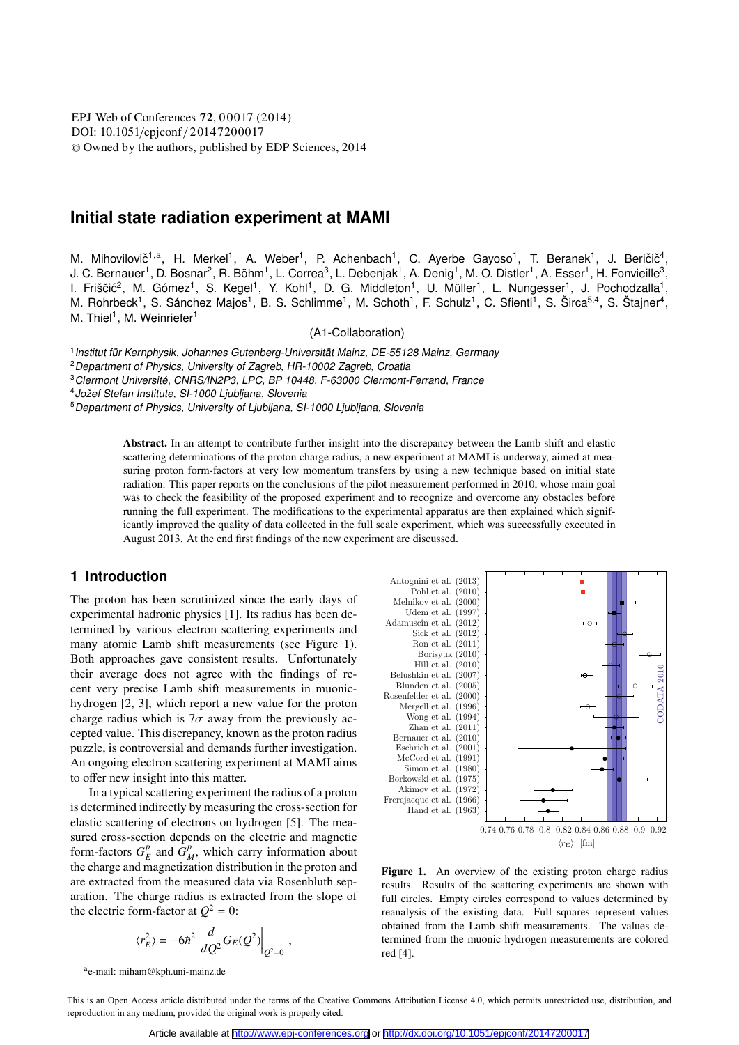DOI: 10.1051/epjconf / 2014 7 2000 17 -<sup>C</sup> Owned by the authors, published by EDP Sciences, 2014 EPJ Web of Conferences **72**, 00017 (2014)

# **Initial state radiation experiment at MAMI**

M. Mihovilovič<sup>1,a</sup>, H. Merkel<sup>1</sup>, A. Weber<sup>1</sup>, P. Achenbach<sup>1</sup>, C. Ayerbe Gayoso<sup>1</sup>, T. Beranek<sup>1</sup>, J. Beričič<sup>4</sup>, J. C. Bernauer<sup>1</sup>, D. Bosnar<sup>2</sup>, R. Böhm<sup>1</sup>, L. Correa<sup>3</sup>, L. Debenjak<sup>1</sup>, A. Denig<sup>1</sup>, M. O. Distler<sup>1</sup>, A. Esser<sup>1</sup>, H. Fonvieille<sup>3</sup>, I. Friščić<sup>2</sup>, M. Gómez<sup>1</sup>, S. Kegel<sup>1</sup>, Y. Kohl<sup>1</sup>, D. G. Middleton<sup>1</sup>, U. Müller<sup>1</sup>, L. Nungesser<sup>1</sup>, J. Pochodzalla<sup>1</sup>, M. Rohrbeck<sup>1</sup>, S. Sánchez Majos<sup>1</sup>, B. S. Schlimme<sup>1</sup>, M. Schoth<sup>1</sup>, F. Schulz<sup>1</sup>, C. Sfienti<sup>1</sup>, S. Širca<sup>5,4</sup>, S. Štajner<sup>4</sup>, M. Thiel<sup>1</sup>, M. Weinriefer<sup>1</sup>

(A1-Collaboration)

<sup>1</sup>Institut für Kernphysik, Johannes Gutenberg-Universität Mainz, DE-55128 Mainz, Germany

<sup>3</sup>Clermont Université, CNRS/IN2P3, LPC, BP 10448, F-63000 Clermont-Ferrand, France

<sup>4</sup>Jožef Stefan Institute, SI-1000 Ljubljana, Slovenia

<sup>5</sup> Department of Physics, University of Ljubljana, SI-1000 Ljubljana, Slovenia

Abstract. In an attempt to contribute further insight into the discrepancy between the Lamb shift and elastic scattering determinations of the proton charge radius, a new experiment at MAMI is underway, aimed at measuring proton form-factors at very low momentum transfers by using a new technique based on initial state radiation. This paper reports on the conclusions of the pilot measurement performed in 2010, whose main goal was to check the feasibility of the proposed experiment and to recognize and overcome any obstacles before running the full experiment. The modifications to the experimental apparatus are then explained which significantly improved the quality of data collected in the full scale experiment, which was successfully executed in August 2013. At the end first findings of the new experiment are discussed.

### **1 Introduction**

The proton has been scrutinized since the early days of experimental hadronic physics [1]. Its radius has been determined by various electron scattering experiments and many atomic Lamb shift measurements (see Figure 1). Both approaches gave consistent results. Unfortunately their average does not agree with the findings of recent very precise Lamb shift measurements in muonichydrogen [2, 3], which report a new value for the proton charge radius which is  $7\sigma$  away from the previously accepted value. This discrepancy, known as the proton radius puzzle, is controversial and demands further investigation. An ongoing electron scattering experiment at MAMI aims to offer new insight into this matter.

In a typical scattering experiment the radius of a proton is determined indirectly by measuring the cross-section for elastic scattering of electrons on hydrogen [5]. The measured cross-section depends on the electric and magnetic form-factors  $G_F^p$  and  $G_M^p$ , which carry information about the charge and magnetization distribution in the proton and are extracted from the measured data via Rosenbluth separation. The charge radius is extracted from the slope of the electric form-factor at  $Q^2 = 0$ :

$$
\langle r_E^2 \rangle = -6\hbar^2 \left. \frac{d}{dQ^2} G_E(Q^2) \right|_{Q^2=0},
$$



Figure 1. An overview of the existing proton charge radius results. Results of the scattering experiments are shown with full circles. Empty circles correspond to values determined by reanalysis of the existing data. Full squares represent values obtained from the Lamb shift measurements. The values determined from the muonic hydrogen measurements are colored red [4].

<sup>2</sup>Department of Physics, University of Zagreb, HR-10002 Zagreb, Croatia

ae-mail: miham@kph.uni-mainz.de

This is an Open Access article distributed under the terms of the Creative Commons Attribution License 4.0, which permits unrestricted use, distribution, and reproduction in any medium, provided the original work is properly cited.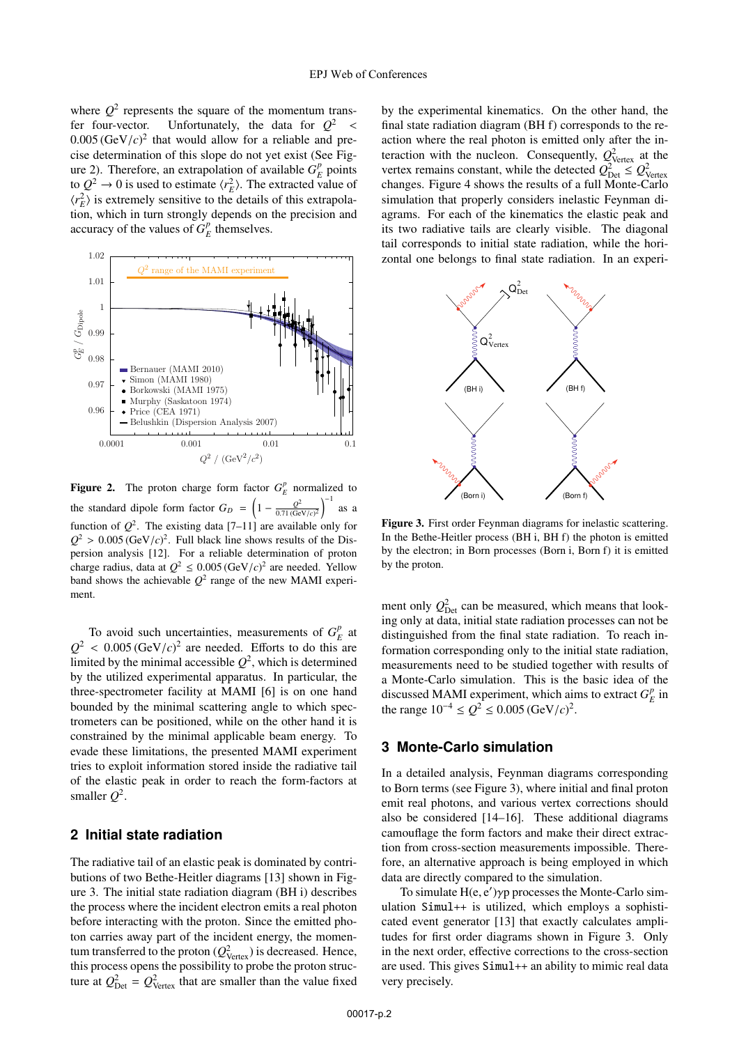where  $Q^2$  represents the square of the momentum transfer four-vector. Unfortunately, the data for  $Q^2$  <  $0.005 \, (\text{GeV}/c)^2$  that would allow for a reliable and precise determination of this slope do not yet exist (See Figure 2). Therefore, an extrapolation of available  $G_F^p$  points to  $Q^2 \rightarrow 0$  is used to estimate  $\langle r_E^2 \rangle$ . The extracted value of  $\langle r_E^2 \rangle$  is extremely sensitive to the details of this extrapolation, which in turn strongly depends on the precision and accuracy of the values of  $G_F^p$  themselves.



**Figure 2.** The proton charge form factor  $G_E^p$  normalized to the standard dipole form factor  $G_D = \left(1 - \frac{Q^2}{0.71 \text{ (GeV/c)}^2}\right)^{-1}$ as a function of  $Q^2$ . The existing data [7–11] are available only for  $Q^2 > 0.005$  (GeV/*c*)<sup>2</sup>. Full black line shows results of the Dispersion analysis [12]. For a reliable determination of proton charge radius, data at  $Q^2 \leq 0.005 \, (\text{GeV}/c)^2$  are needed. Yellow band shows the achievable  $Q^2$  range of the new MAMI experiment.

To avoid such uncertainties, measurements of  $G_F^p$  at  $Q^2$  < 0.005 (GeV/*c*)<sup>2</sup> are needed. Efforts to do this are limited by the minimal accessible  $Q^2$ , which is determined by the utilized experimental apparatus. In particular, the three-spectrometer facility at MAMI [6] is on one hand bounded by the minimal scattering angle to which spectrometers can be positioned, while on the other hand it is constrained by the minimal applicable beam energy. To evade these limitations, the presented MAMI experiment tries to exploit information stored inside the radiative tail of the elastic peak in order to reach the form-factors at smaller  $O^2$ .

# **2 Initial state radiation**

The radiative tail of an elastic peak is dominated by contributions of two Bethe-Heitler diagrams [13] shown in Figure 3. The initial state radiation diagram (BH i) describes the process where the incident electron emits a real photon before interacting with the proton. Since the emitted photon carries away part of the incident energy, the momentum transferred to the proton ( $Q_{\text{Vertex}}^2$ ) is decreased. Hence, this process opens the possibility to probe the proton structure at  $Q_{\text{Det}}^2 = Q_{\text{Vertex}}^2$  that are smaller than the value fixed

by the experimental kinematics. On the other hand, the final state radiation diagram (BH f) corresponds to the reaction where the real photon is emitted only after the interaction with the nucleon. Consequently,  $Q_{\text{Vertex}}^2$  at the vertex remains constant, while the detected  $Q_{\text{Det}}^2 \leq Q_{\text{Vertex}}^2$ changes. Figure 4 shows the results of a full Monte-Carlo simulation that properly considers inelastic Feynman diagrams. For each of the kinematics the elastic peak and its two radiative tails are clearly visible. The diagonal tail corresponds to initial state radiation, while the horizontal one belongs to final state radiation. In an experi-

![](_page_1_Figure_8.jpeg)

Figure 3. First order Feynman diagrams for inelastic scattering. In the Bethe-Heitler process (BH i, BH f) the photon is emitted by the electron; in Born processes (Born i, Born f) it is emitted by the proton.

ment only  $Q_{\text{Det}}^2$  can be measured, which means that looking only at data, initial state radiation processes can not be distinguished from the final state radiation. To reach information corresponding only to the initial state radiation, measurements need to be studied together with results of a Monte-Carlo simulation. This is the basic idea of the discussed MAMI experiment, which aims to extract  $G_F^p$  in the range  $10^{-4} \leq Q^2 \leq 0.005 \, (\text{GeV}/c)^2$ .

# **3 Monte-Carlo simulation**

In a detailed analysis, Feynman diagrams corresponding to Born terms (see Figure 3), where initial and final proton emit real photons, and various vertex corrections should also be considered [14–16]. These additional diagrams camouflage the form factors and make their direct extraction from cross-section measurements impossible. Therefore, an alternative approach is being employed in which data are directly compared to the simulation.

To simulate H(e, e )γp processes the Monte-Carlo simulation Simul++ is utilized, which employs a sophisticated event generator [13] that exactly calculates amplitudes for first order diagrams shown in Figure 3. Only in the next order, effective corrections to the cross-section are used. This gives Simul++ an ability to mimic real data very precisely.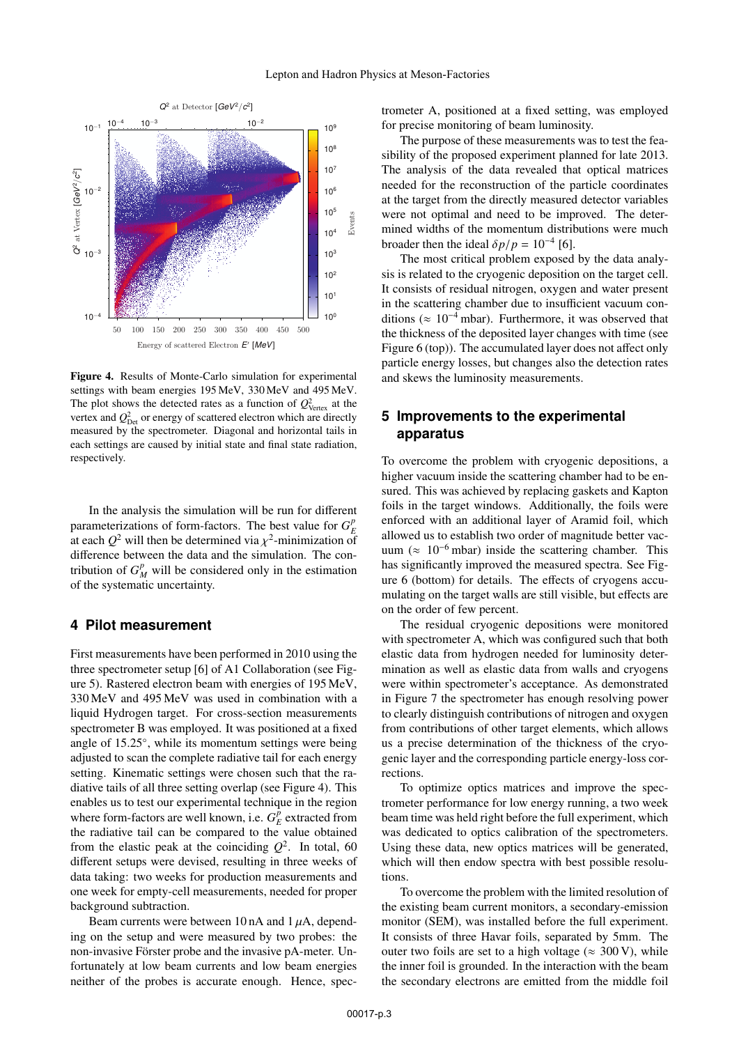![](_page_2_Figure_1.jpeg)

Figure 4. Results of Monte-Carlo simulation for experimental settings with beam energies 195 MeV, 330 MeV and 495 MeV. The plot shows the detected rates as a function of  $Q_{\text{Vertex}}^2$  at the vertex and  $Q_{\text{Det}}^2$  or energy of scattered electron which are directly measured by the spectrometer. Diagonal and horizontal tails in each settings are caused by initial state and final state radiation, respectively.

In the analysis the simulation will be run for different parameterizations of form-factors. The best value for  $G_E^p$ at each  $Q^2$  will then be determined via  $\chi^2$ -minimization of difference between the data and the simulation. The contribution of  $G_M^p$  will be considered only in the estimation of the systematic uncertainty.

# **4 Pilot measurement**

First measurements have been performed in 2010 using the three spectrometer setup [6] of A1 Collaboration (see Figure 5). Rastered electron beam with energies of 195 MeV, 330 MeV and 495 MeV was used in combination with a liquid Hydrogen target. For cross-section measurements spectrometer B was employed. It was positioned at a fixed angle of 15.25◦, while its momentum settings were being adjusted to scan the complete radiative tail for each energy setting. Kinematic settings were chosen such that the radiative tails of all three setting overlap (see Figure 4). This enables us to test our experimental technique in the region where form-factors are well known, i.e.  $G_F^p$  extracted from the radiative tail can be compared to the value obtained from the elastic peak at the coinciding  $Q^2$ . In total, 60 different setups were devised, resulting in three weeks of data taking: two weeks for production measurements and one week for empty-cell measurements, needed for proper background subtraction.

Beam currents were between 10 nA and  $1 \mu$ A, depending on the setup and were measured by two probes: the non-invasive Förster probe and the invasive pA-meter. Unfortunately at low beam currents and low beam energies neither of the probes is accurate enough. Hence, spectrometer A, positioned at a fixed setting, was employed for precise monitoring of beam luminosity.

The purpose of these measurements was to test the feasibility of the proposed experiment planned for late 2013. The analysis of the data revealed that optical matrices needed for the reconstruction of the particle coordinates at the target from the directly measured detector variables were not optimal and need to be improved. The determined widths of the momentum distributions were much broader then the ideal  $\delta p/p = 10^{-4}$  [6].

The most critical problem exposed by the data analysis is related to the cryogenic deposition on the target cell. It consists of residual nitrogen, oxygen and water present in the scattering chamber due to insufficient vacuum conditions ( $\approx 10^{-4}$  mbar). Furthermore, it was observed that the thickness of the deposited layer changes with time (see Figure 6 (top)). The accumulated layer does not affect only particle energy losses, but changes also the detection rates and skews the luminosity measurements.

# **5 Improvements to the experimental apparatus**

To overcome the problem with cryogenic depositions, a higher vacuum inside the scattering chamber had to be ensured. This was achieved by replacing gaskets and Kapton foils in the target windows. Additionally, the foils were enforced with an additional layer of Aramid foil, which allowed us to establish two order of magnitude better vacuum ( $\approx 10^{-6}$  mbar) inside the scattering chamber. This has significantly improved the measured spectra. See Figure 6 (bottom) for details. The effects of cryogens accumulating on the target walls are still visible, but effects are on the order of few percent.

The residual cryogenic depositions were monitored with spectrometer A, which was configured such that both elastic data from hydrogen needed for luminosity determination as well as elastic data from walls and cryogens were within spectrometer's acceptance. As demonstrated in Figure 7 the spectrometer has enough resolving power to clearly distinguish contributions of nitrogen and oxygen from contributions of other target elements, which allows us a precise determination of the thickness of the cryogenic layer and the corresponding particle energy-loss corrections.

To optimize optics matrices and improve the spectrometer performance for low energy running, a two week beam time was held right before the full experiment, which was dedicated to optics calibration of the spectrometers. Using these data, new optics matrices will be generated, which will then endow spectra with best possible resolutions.

To overcome the problem with the limited resolution of the existing beam current monitors, a secondary-emission monitor (SEM), was installed before the full experiment. It consists of three Havar foils, separated by 5mm. The outer two foils are set to a high voltage ( $\approx 300 \text{ V}$ ), while the inner foil is grounded. In the interaction with the beam the secondary electrons are emitted from the middle foil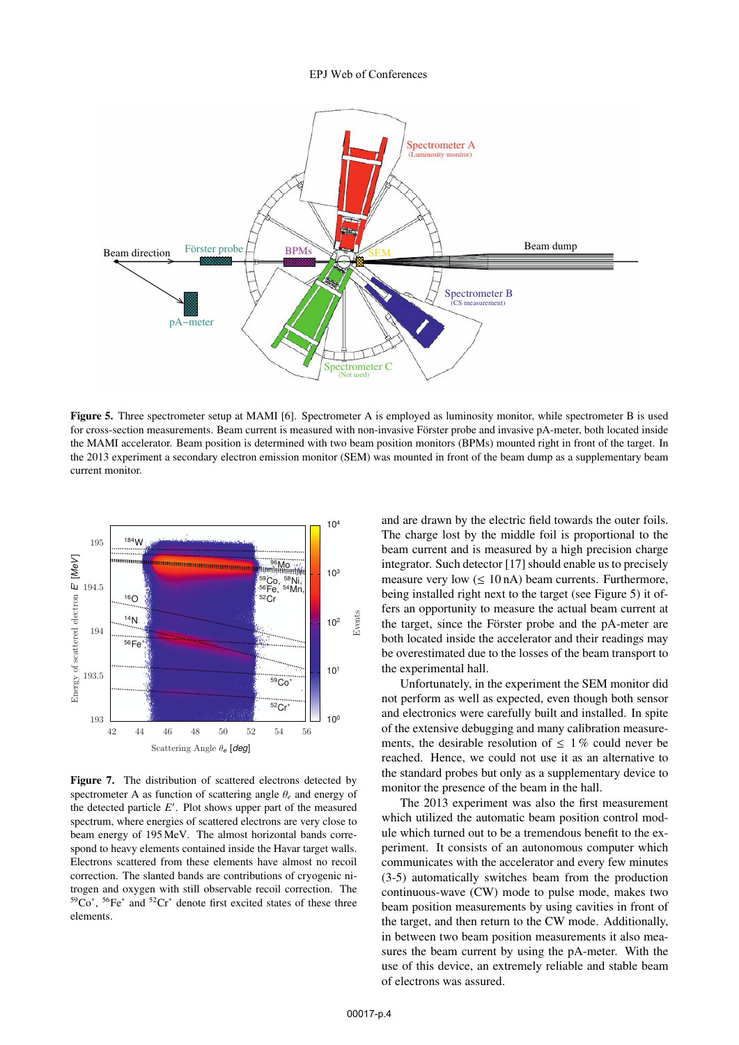#### EPJ Web of Conferences

![](_page_3_Figure_1.jpeg)

Figure 5. Three spectrometer setup at MAMI [6]. Spectrometer A is employed as luminosity monitor, while spectrometer B is used for cross-section measurements. Beam current is measured with non-invasive Förster probe and invasive pA-meter, both located inside the MAMI accelerator. Beam position is determined with two beam position monitors (BPMs) mounted right in front of the target. In the 2013 experiment a secondary electron emission monitor (SEM) was mounted in front of the beam dump as a supplementary beam current monitor.

![](_page_3_Figure_3.jpeg)

Figure 7. The distribution of scattered electrons detected by spectrometer A as function of scattering angle θ*<sup>e</sup>* and energy of the detected particle  $E'$ . Plot shows upper part of the measured spectrum, where energies of scattered electrons are very close to beam energy of 195 MeV. The almost horizontal bands correspond to heavy elements contained inside the Havar target walls. Electrons scattered from these elements have almost no recoil correction. The slanted bands are contributions of cryogenic nitrogen and oxygen with still observable recoil correction. The 59Co<sup>∗</sup> , 56Fe<sup>∗</sup> and 52Cr<sup>∗</sup> denote first excited states of these three elements.

and are drawn by the electric field towards the outer foils. The charge lost by the middle foil is proportional to the beam current and is measured by a high precision charge integrator. Such detector [17] should enable us to precisely measure very low  $(\leq 10 \text{ nA})$  beam currents. Furthermore, being installed right next to the target (see Figure 5) it offers an opportunity to measure the actual beam current at the target, since the Förster probe and the pA-meter are both located inside the accelerator and their readings may be overestimated due to the losses of the beam transport to the experimental hall.

Unfortunately, in the experiment the SEM monitor did not perform as well as expected, even though both sensor and electronics were carefully built and installed. In spite of the extensive debugging and many calibration measurements, the desirable resolution of  $\leq 1\%$  could never be reached. Hence, we could not use it as an alternative to the standard probes but only as a supplementary device to monitor the presence of the beam in the hall.

The 2013 experiment was also the first measurement which utilized the automatic beam position control module which turned out to be a tremendous benefit to the experiment. It consists of an autonomous computer which communicates with the accelerator and every few minutes (3-5) automatically switches beam from the production continuous-wave (CW) mode to pulse mode, makes two beam position measurements by using cavities in front of the target, and then return to the CW mode. Additionally, in between two beam position measurements it also measures the beam current by using the pA-meter. With the use of this device, an extremely reliable and stable beam of electrons was assured.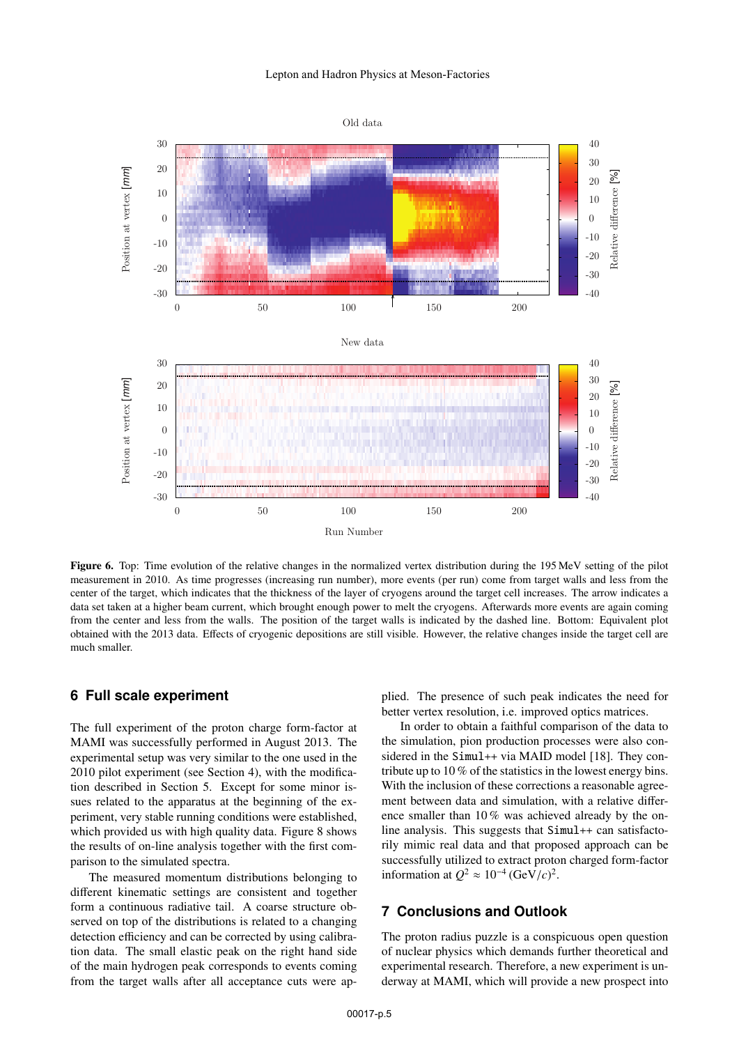![](_page_4_Figure_1.jpeg)

Figure 6. Top: Time evolution of the relative changes in the normalized vertex distribution during the 195 MeV setting of the pilot measurement in 2010. As time progresses (increasing run number), more events (per run) come from target walls and less from the center of the target, which indicates that the thickness of the layer of cryogens around the target cell increases. The arrow indicates a data set taken at a higher beam current, which brought enough power to melt the cryogens. Afterwards more events are again coming from the center and less from the walls. The position of the target walls is indicated by the dashed line. Bottom: Equivalent plot obtained with the 2013 data. Effects of cryogenic depositions are still visible. However, the relative changes inside the target cell are much smaller.

## **6 Full scale experiment**

The full experiment of the proton charge form-factor at MAMI was successfully performed in August 2013. The experimental setup was very similar to the one used in the 2010 pilot experiment (see Section 4), with the modification described in Section 5. Except for some minor issues related to the apparatus at the beginning of the experiment, very stable running conditions were established, which provided us with high quality data. Figure 8 shows the results of on-line analysis together with the first comparison to the simulated spectra.

The measured momentum distributions belonging to different kinematic settings are consistent and together form a continuous radiative tail. A coarse structure observed on top of the distributions is related to a changing detection efficiency and can be corrected by using calibration data. The small elastic peak on the right hand side of the main hydrogen peak corresponds to events coming from the target walls after all acceptance cuts were applied. The presence of such peak indicates the need for better vertex resolution, i.e. improved optics matrices.

In order to obtain a faithful comparison of the data to the simulation, pion production processes were also considered in the Simul++ via MAID model [18]. They contribute up to 10 % of the statistics in the lowest energy bins. With the inclusion of these corrections a reasonable agreement between data and simulation, with a relative difference smaller than 10 % was achieved already by the online analysis. This suggests that Simul++ can satisfactorily mimic real data and that proposed approach can be successfully utilized to extract proton charged form-factor information at  $Q^2 \approx 10^{-4} (\text{GeV}/c)^2$ .

## **7 Conclusions and Outlook**

The proton radius puzzle is a conspicuous open question of nuclear physics which demands further theoretical and experimental research. Therefore, a new experiment is underway at MAMI, which will provide a new prospect into